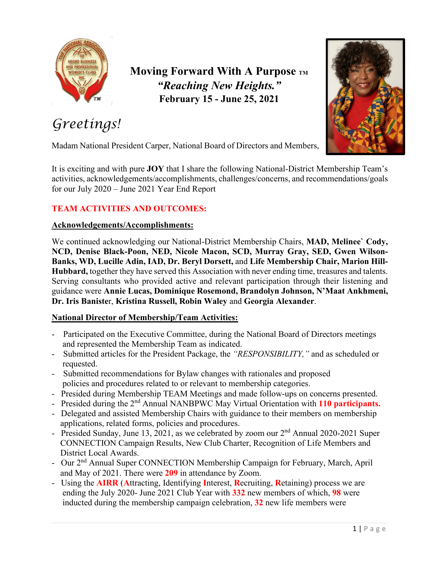

**Moving Forward With A Purpose TM** *"Reaching New Heights."* **February 15 - June 25, 2021**



# *Greetings!*

Madam National President Carper, National Board of Directors and Members,

It is exciting and with pure **JOY** that I share the following National-District Membership Team's activities, acknowledgements/accomplishments, challenges/concerns, and recommendations/goals for our July 2020 – June 2021 Year End Report

### **TEAM ACTIVITIES AND OUTCOMES:**

#### **Acknowledgements/Accomplishments:**

We continued acknowledging our National-District Membership Chairs, **MAD, Melinee` Cody, NCD, Denise Black-Poon, NED, Nicole Macon, SCD, Murray Gray, SED, Gwen Wilson-Banks, WD, Lucille Adin, IAD, Dr. Beryl Dorsett,** and **Life Membership Chair, Marion Hill-Hubbard,** together they have served this Association with never ending time, treasures and talents. Serving consultants who provided active and relevant participation through their listening and guidance were **Annie Lucas, Dominique Rosemond, Brandolyn Johnson, N'Maat Ankhmeni, Dr. Iris Baniste**r, **Kristina Russell, Robin Waley** and **Georgia Alexander**.

#### **National Director of Membership/Team Activities:**

- Participated on the Executive Committee, during the National Board of Directors meetings and represented the Membership Team as indicated.
- Submitted articles for the President Package, the *"RESPONSIBILITY,"* and as scheduled or requested.
- Submitted recommendations for Bylaw changes with rationales and proposed policies and procedures related to or relevant to membership categories.
- Presided during Membership TEAM Meetings and made follow-ups on concerns presented.
- Presided during the 2nd Annual NANBPWC May Virtual Orientation with **110 participants.**
- Delegated and assisted Membership Chairs with guidance to their members on membership applications, related forms, policies and procedures.
- Presided Sunday, June 13, 2021, as we celebrated by zoom our  $2<sup>nd</sup>$  Annual 2020-2021 Super CONNECTION Campaign Results, New Club Charter, Recognition of Life Members and District Local Awards.
- Our 2<sup>nd</sup> Annual Super CONNECTION Membership Campaign for February, March, April and May of 2021. There were **209** in attendance by Zoom.
- Using the **AIRR** (**A**ttracting, Identifying **I**nterest, **R**ecruiting, **R**etaining) process we are ending the July 2020- June 2021 Club Year with **332** new members of which, **98** were inducted during the membership campaign celebration, **32** new life members were